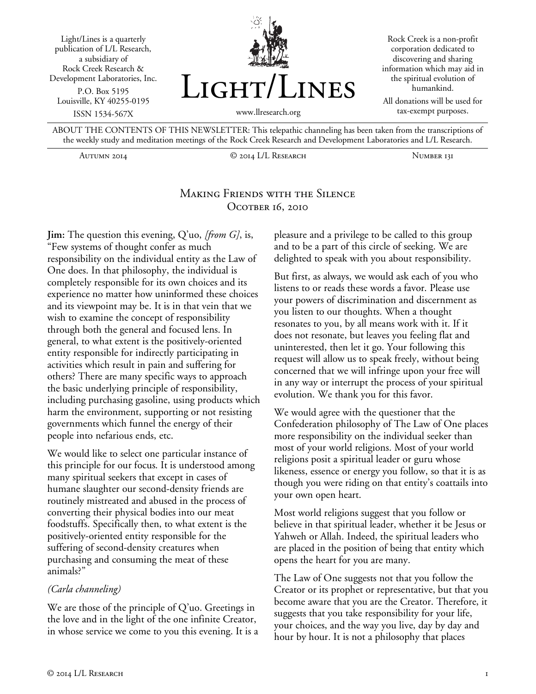



Rock Creek is a non-profit corporation dedicated to discovering and sharing information which may aid in the spiritual evolution of humankind.

All donations will be used for tax-exempt purposes.

ABOUT THE CONTENTS OF THIS NEWSLETTER: This telepathic channeling has been taken from the transcriptions of the weekly study and meditation meetings of the Rock Creek Research and Development Laboratories and L/L Research.

Autumn 2014 © 2014 L/L Research Number 131

## Making Friends with the Silence Ocotber 16, 2010

**Jim:** The question this evening, Q'uo, *[from G]*, is, "Few systems of thought confer as much responsibility on the individual entity as the Law of One does. In that philosophy, the individual is completely responsible for its own choices and its experience no matter how uninformed these choices and its viewpoint may be. It is in that vein that we wish to examine the concept of responsibility through both the general and focused lens. In general, to what extent is the positively-oriented entity responsible for indirectly participating in activities which result in pain and suffering for others? There are many specific ways to approach the basic underlying principle of responsibility, including purchasing gasoline, using products which harm the environment, supporting or not resisting governments which funnel the energy of their people into nefarious ends, etc.

We would like to select one particular instance of this principle for our focus. It is understood among many spiritual seekers that except in cases of humane slaughter our second-density friends are routinely mistreated and abused in the process of converting their physical bodies into our meat foodstuffs. Specifically then, to what extent is the positively-oriented entity responsible for the suffering of second-density creatures when purchasing and consuming the meat of these animals?"

## *(Carla channeling)*

We are those of the principle of Q'uo. Greetings in the love and in the light of the one infinite Creator, in whose service we come to you this evening. It is a pleasure and a privilege to be called to this group and to be a part of this circle of seeking. We are delighted to speak with you about responsibility.

But first, as always, we would ask each of you who listens to or reads these words a favor. Please use your powers of discrimination and discernment as you listen to our thoughts. When a thought resonates to you, by all means work with it. If it does not resonate, but leaves you feeling flat and uninterested, then let it go. Your following this request will allow us to speak freely, without being concerned that we will infringe upon your free will in any way or interrupt the process of your spiritual evolution. We thank you for this favor.

We would agree with the questioner that the Confederation philosophy of The Law of One places more responsibility on the individual seeker than most of your world religions. Most of your world religions posit a spiritual leader or guru whose likeness, essence or energy you follow, so that it is as though you were riding on that entity's coattails into your own open heart.

Most world religions suggest that you follow or believe in that spiritual leader, whether it be Jesus or Yahweh or Allah. Indeed, the spiritual leaders who are placed in the position of being that entity which opens the heart for you are many.

The Law of One suggests not that you follow the Creator or its prophet or representative, but that you become aware that you are the Creator. Therefore, it suggests that you take responsibility for your life, your choices, and the way you live, day by day and hour by hour. It is not a philosophy that places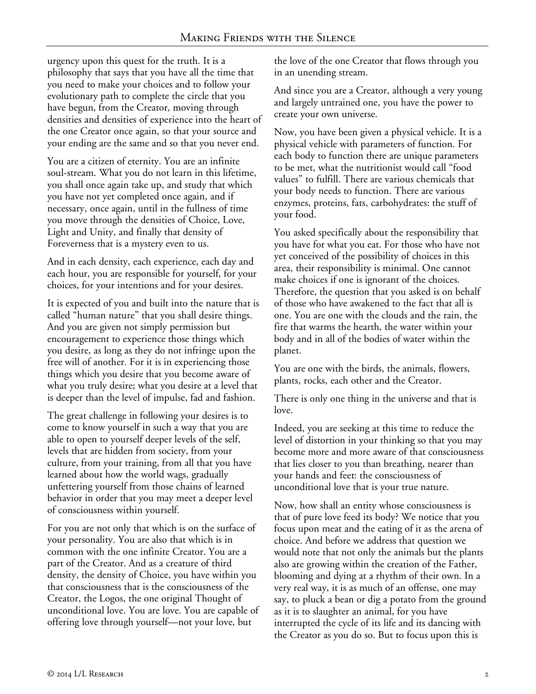urgency upon this quest for the truth. It is a philosophy that says that you have all the time that you need to make your choices and to follow your evolutionary path to complete the circle that you have begun, from the Creator, moving through densities and densities of experience into the heart of the one Creator once again, so that your source and your ending are the same and so that you never end.

You are a citizen of eternity. You are an infinite soul-stream. What you do not learn in this lifetime, you shall once again take up, and study that which you have not yet completed once again, and if necessary, once again, until in the fullness of time you move through the densities of Choice, Love, Light and Unity, and finally that density of Foreverness that is a mystery even to us.

And in each density, each experience, each day and each hour, you are responsible for yourself, for your choices, for your intentions and for your desires.

It is expected of you and built into the nature that is called "human nature" that you shall desire things. And you are given not simply permission but encouragement to experience those things which you desire, as long as they do not infringe upon the free will of another. For it is in experiencing those things which you desire that you become aware of what you truly desire; what you desire at a level that is deeper than the level of impulse, fad and fashion.

The great challenge in following your desires is to come to know yourself in such a way that you are able to open to yourself deeper levels of the self, levels that are hidden from society, from your culture, from your training, from all that you have learned about how the world wags, gradually unfettering yourself from those chains of learned behavior in order that you may meet a deeper level of consciousness within yourself.

For you are not only that which is on the surface of your personality. You are also that which is in common with the one infinite Creator. You are a part of the Creator. And as a creature of third density, the density of Choice, you have within you that consciousness that is the consciousness of the Creator, the Logos, the one original Thought of unconditional love. You are love. You are capable of offering love through yourself—not your love, but

the love of the one Creator that flows through you in an unending stream.

And since you are a Creator, although a very young and largely untrained one, you have the power to create your own universe.

Now, you have been given a physical vehicle. It is a physical vehicle with parameters of function. For each body to function there are unique parameters to be met, what the nutritionist would call "food values" to fulfill. There are various chemicals that your body needs to function. There are various enzymes, proteins, fats, carbohydrates: the stuff of your food.

You asked specifically about the responsibility that you have for what you eat. For those who have not yet conceived of the possibility of choices in this area, their responsibility is minimal. One cannot make choices if one is ignorant of the choices. Therefore, the question that you asked is on behalf of those who have awakened to the fact that all is one. You are one with the clouds and the rain, the fire that warms the hearth, the water within your body and in all of the bodies of water within the planet.

You are one with the birds, the animals, flowers, plants, rocks, each other and the Creator.

There is only one thing in the universe and that is love.

Indeed, you are seeking at this time to reduce the level of distortion in your thinking so that you may become more and more aware of that consciousness that lies closer to you than breathing, nearer than your hands and feet: the consciousness of unconditional love that is your true nature.

Now, how shall an entity whose consciousness is that of pure love feed its body? We notice that you focus upon meat and the eating of it as the arena of choice. And before we address that question we would note that not only the animals but the plants also are growing within the creation of the Father, blooming and dying at a rhythm of their own. In a very real way, it is as much of an offense, one may say, to pluck a bean or dig a potato from the ground as it is to slaughter an animal, for you have interrupted the cycle of its life and its dancing with the Creator as you do so. But to focus upon this is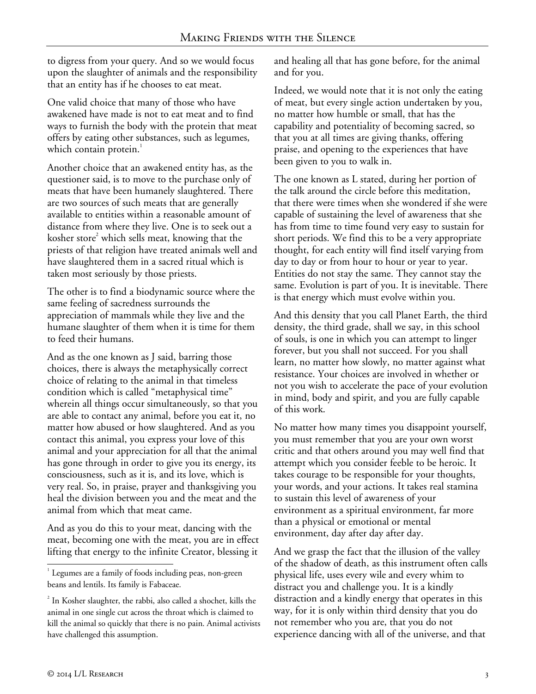to digress from your query. And so we would focus upon the slaughter of animals and the responsibility that an entity has if he chooses to eat meat.

One valid choice that many of those who have awakened have made is not to eat meat and to find ways to furnish the body with the protein that meat offers by eating other substances, such as legumes, which contain protein.<sup>1</sup>

Another choice that an awakened entity has, as the questioner said, is to move to the purchase only of meats that have been humanely slaughtered. There are two sources of such meats that are generally available to entities within a reasonable amount of distance from where they live. One is to seek out a kosher store<sup>2</sup> which sells meat, knowing that the priests of that religion have treated animals well and have slaughtered them in a sacred ritual which is taken most seriously by those priests.

The other is to find a biodynamic source where the same feeling of sacredness surrounds the appreciation of mammals while they live and the humane slaughter of them when it is time for them to feed their humans.

And as the one known as J said, barring those choices, there is always the metaphysically correct choice of relating to the animal in that timeless condition which is called "metaphysical time" wherein all things occur simultaneously, so that you are able to contact any animal, before you eat it, no matter how abused or how slaughtered. And as you contact this animal, you express your love of this animal and your appreciation for all that the animal has gone through in order to give you its energy, its consciousness, such as it is, and its love, which is very real. So, in praise, prayer and thanksgiving you heal the division between you and the meat and the animal from which that meat came.

And as you do this to your meat, dancing with the meat, becoming one with the meat, you are in effect lifting that energy to the infinite Creator, blessing it

and healing all that has gone before, for the animal and for you.

Indeed, we would note that it is not only the eating of meat, but every single action undertaken by you, no matter how humble or small, that has the capability and potentiality of becoming sacred, so that you at all times are giving thanks, offering praise, and opening to the experiences that have been given to you to walk in.

The one known as L stated, during her portion of the talk around the circle before this meditation, that there were times when she wondered if she were capable of sustaining the level of awareness that she has from time to time found very easy to sustain for short periods. We find this to be a very appropriate thought, for each entity will find itself varying from day to day or from hour to hour or year to year. Entities do not stay the same. They cannot stay the same. Evolution is part of you. It is inevitable. There is that energy which must evolve within you.

And this density that you call Planet Earth, the third density, the third grade, shall we say, in this school of souls, is one in which you can attempt to linger forever, but you shall not succeed. For you shall learn, no matter how slowly, no matter against what resistance. Your choices are involved in whether or not you wish to accelerate the pace of your evolution in mind, body and spirit, and you are fully capable of this work.

No matter how many times you disappoint yourself, you must remember that you are your own worst critic and that others around you may well find that attempt which you consider feeble to be heroic. It takes courage to be responsible for your thoughts, your words, and your actions. It takes real stamina to sustain this level of awareness of your environment as a spiritual environment, far more than a physical or emotional or mental environment, day after day after day.

And we grasp the fact that the illusion of the valley of the shadow of death, as this instrument often calls physical life, uses every wile and every whim to distract you and challenge you. It is a kindly distraction and a kindly energy that operates in this way, for it is only within third density that you do not remember who you are, that you do not experience dancing with all of the universe, and that

l <sup>1</sup> Legumes are a family of foods including peas, non-green beans and lentils. Its family is Fabaceae.

 $2^{2}$  In Kosher slaughter, the rabbi, also called a shochet, kills the animal in one single cut across the throat which is claimed to kill the animal so quickly that there is no pain. Animal activists have challenged this assumption.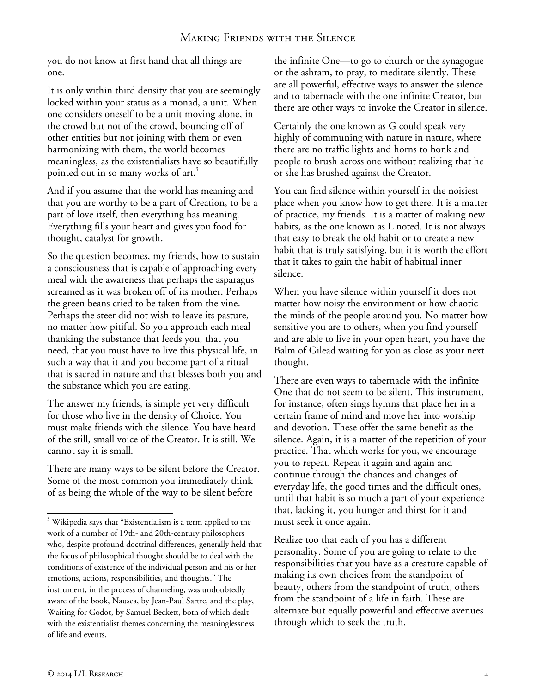you do not know at first hand that all things are one.

It is only within third density that you are seemingly locked within your status as a monad, a unit. When one considers oneself to be a unit moving alone, in the crowd but not of the crowd, bouncing off of other entities but not joining with them or even harmonizing with them, the world becomes meaningless, as the existentialists have so beautifully pointed out in so many works of art.<sup>3</sup>

And if you assume that the world has meaning and that you are worthy to be a part of Creation, to be a part of love itself, then everything has meaning. Everything fills your heart and gives you food for thought, catalyst for growth.

So the question becomes, my friends, how to sustain a consciousness that is capable of approaching every meal with the awareness that perhaps the asparagus screamed as it was broken off of its mother. Perhaps the green beans cried to be taken from the vine. Perhaps the steer did not wish to leave its pasture, no matter how pitiful. So you approach each meal thanking the substance that feeds you, that you need, that you must have to live this physical life, in such a way that it and you become part of a ritual that is sacred in nature and that blesses both you and the substance which you are eating.

The answer my friends, is simple yet very difficult for those who live in the density of Choice. You must make friends with the silence. You have heard of the still, small voice of the Creator. It is still. We cannot say it is small.

There are many ways to be silent before the Creator. Some of the most common you immediately think of as being the whole of the way to be silent before

the infinite One—to go to church or the synagogue or the ashram, to pray, to meditate silently. These are all powerful, effective ways to answer the silence and to tabernacle with the one infinite Creator, but there are other ways to invoke the Creator in silence.

Certainly the one known as G could speak very highly of communing with nature in nature, where there are no traffic lights and horns to honk and people to brush across one without realizing that he or she has brushed against the Creator.

You can find silence within yourself in the noisiest place when you know how to get there. It is a matter of practice, my friends. It is a matter of making new habits, as the one known as L noted. It is not always that easy to break the old habit or to create a new habit that is truly satisfying, but it is worth the effort that it takes to gain the habit of habitual inner silence.

When you have silence within yourself it does not matter how noisy the environment or how chaotic the minds of the people around you. No matter how sensitive you are to others, when you find yourself and are able to live in your open heart, you have the Balm of Gilead waiting for you as close as your next thought.

There are even ways to tabernacle with the infinite One that do not seem to be silent. This instrument, for instance, often sings hymns that place her in a certain frame of mind and move her into worship and devotion. These offer the same benefit as the silence. Again, it is a matter of the repetition of your practice. That which works for you, we encourage you to repeat. Repeat it again and again and continue through the chances and changes of everyday life, the good times and the difficult ones, until that habit is so much a part of your experience that, lacking it, you hunger and thirst for it and must seek it once again.

Realize too that each of you has a different personality. Some of you are going to relate to the responsibilities that you have as a creature capable of making its own choices from the standpoint of beauty, others from the standpoint of truth, others from the standpoint of a life in faith. These are alternate but equally powerful and effective avenues through which to seek the truth.

l

 $3$  Wikipedia says that "Existentialism is a term applied to the work of a number of 19th- and 20th-century philosophers who, despite profound doctrinal differences, generally held that the focus of philosophical thought should be to deal with the conditions of existence of the individual person and his or her emotions, actions, responsibilities, and thoughts." The instrument, in the process of channeling, was undoubtedly aware of the book, Nausea, by Jean-Paul Sartre, and the play, Waiting for Godot, by Samuel Beckett, both of which dealt with the existentialist themes concerning the meaninglessness of life and events.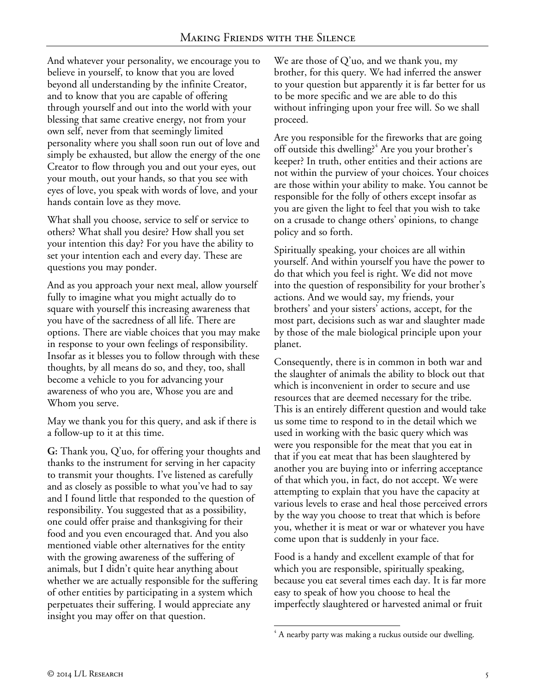And whatever your personality, we encourage you to believe in yourself, to know that you are loved beyond all understanding by the infinite Creator, and to know that you are capable of offering through yourself and out into the world with your blessing that same creative energy, not from your own self, never from that seemingly limited personality where you shall soon run out of love and simply be exhausted, but allow the energy of the one Creator to flow through you and out your eyes, out your mouth, out your hands, so that you see with eyes of love, you speak with words of love, and your hands contain love as they move.

What shall you choose, service to self or service to others? What shall you desire? How shall you set your intention this day? For you have the ability to set your intention each and every day. These are questions you may ponder.

And as you approach your next meal, allow yourself fully to imagine what you might actually do to square with yourself this increasing awareness that you have of the sacredness of all life. There are options. There are viable choices that you may make in response to your own feelings of responsibility. Insofar as it blesses you to follow through with these thoughts, by all means do so, and they, too, shall become a vehicle to you for advancing your awareness of who you are, Whose you are and Whom you serve.

May we thank you for this query, and ask if there is a follow-up to it at this time.

**G:** Thank you, Q'uo, for offering your thoughts and thanks to the instrument for serving in her capacity to transmit your thoughts. I've listened as carefully and as closely as possible to what you've had to say and I found little that responded to the question of responsibility. You suggested that as a possibility, one could offer praise and thanksgiving for their food and you even encouraged that. And you also mentioned viable other alternatives for the entity with the growing awareness of the suffering of animals, but I didn't quite hear anything about whether we are actually responsible for the suffering of other entities by participating in a system which perpetuates their suffering. I would appreciate any insight you may offer on that question.

We are those of Q'uo, and we thank you, my brother, for this query. We had inferred the answer to your question but apparently it is far better for us to be more specific and we are able to do this without infringing upon your free will. So we shall proceed.

Are you responsible for the fireworks that are going off outside this dwelling?<sup>4</sup> Are you your brother's keeper? In truth, other entities and their actions are not within the purview of your choices. Your choices are those within your ability to make. You cannot be responsible for the folly of others except insofar as you are given the light to feel that you wish to take on a crusade to change others' opinions, to change policy and so forth.

Spiritually speaking, your choices are all within yourself. And within yourself you have the power to do that which you feel is right. We did not move into the question of responsibility for your brother's actions. And we would say, my friends, your brothers' and your sisters' actions, accept, for the most part, decisions such as war and slaughter made by those of the male biological principle upon your planet.

Consequently, there is in common in both war and the slaughter of animals the ability to block out that which is inconvenient in order to secure and use resources that are deemed necessary for the tribe. This is an entirely different question and would take us some time to respond to in the detail which we used in working with the basic query which was were you responsible for the meat that you eat in that if you eat meat that has been slaughtered by another you are buying into or inferring acceptance of that which you, in fact, do not accept. We were attempting to explain that you have the capacity at various levels to erase and heal those perceived errors by the way you choose to treat that which is before you, whether it is meat or war or whatever you have come upon that is suddenly in your face.

Food is a handy and excellent example of that for which you are responsible, spiritually speaking, because you eat several times each day. It is far more easy to speak of how you choose to heal the imperfectly slaughtered or harvested animal or fruit

l  $4^4$  A nearby party was making a ruckus outside our dwelling.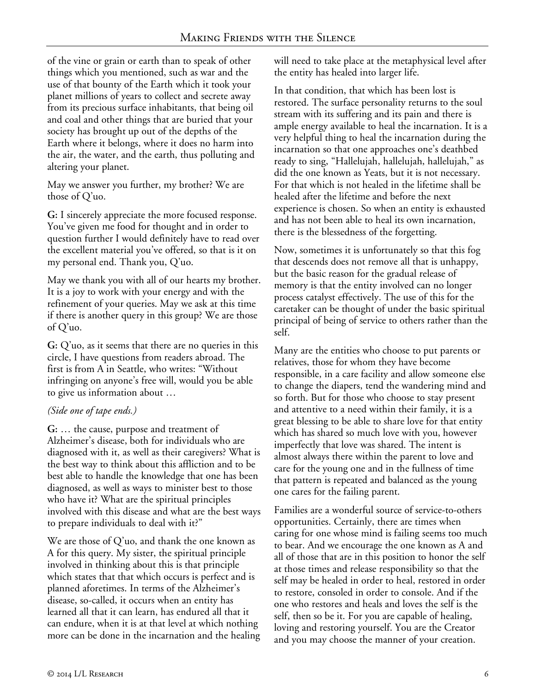of the vine or grain or earth than to speak of other things which you mentioned, such as war and the use of that bounty of the Earth which it took your planet millions of years to collect and secrete away from its precious surface inhabitants, that being oil and coal and other things that are buried that your society has brought up out of the depths of the Earth where it belongs, where it does no harm into the air, the water, and the earth, thus polluting and altering your planet.

May we answer you further, my brother? We are those of Q'uo.

**G:** I sincerely appreciate the more focused response. You've given me food for thought and in order to question further I would definitely have to read over the excellent material you've offered, so that is it on my personal end. Thank you, Q'uo.

May we thank you with all of our hearts my brother. It is a joy to work with your energy and with the refinement of your queries. May we ask at this time if there is another query in this group? We are those of Q'uo.

**G:** Q'uo, as it seems that there are no queries in this circle, I have questions from readers abroad. The first is from A in Seattle, who writes: "Without infringing on anyone's free will, would you be able to give us information about …

## *(Side one of tape ends.)*

**G:** … the cause, purpose and treatment of Alzheimer's disease, both for individuals who are diagnosed with it, as well as their caregivers? What is the best way to think about this affliction and to be best able to handle the knowledge that one has been diagnosed, as well as ways to minister best to those who have it? What are the spiritual principles involved with this disease and what are the best ways to prepare individuals to deal with it?"

We are those of  $Q'$ uo, and thank the one known as A for this query. My sister, the spiritual principle involved in thinking about this is that principle which states that that which occurs is perfect and is planned aforetimes. In terms of the Alzheimer's disease, so-called, it occurs when an entity has learned all that it can learn, has endured all that it can endure, when it is at that level at which nothing more can be done in the incarnation and the healing will need to take place at the metaphysical level after the entity has healed into larger life.

In that condition, that which has been lost is restored. The surface personality returns to the soul stream with its suffering and its pain and there is ample energy available to heal the incarnation. It is a very helpful thing to heal the incarnation during the incarnation so that one approaches one's deathbed ready to sing, "Hallelujah, hallelujah, hallelujah," as did the one known as Yeats, but it is not necessary. For that which is not healed in the lifetime shall be healed after the lifetime and before the next experience is chosen. So when an entity is exhausted and has not been able to heal its own incarnation, there is the blessedness of the forgetting.

Now, sometimes it is unfortunately so that this fog that descends does not remove all that is unhappy, but the basic reason for the gradual release of memory is that the entity involved can no longer process catalyst effectively. The use of this for the caretaker can be thought of under the basic spiritual principal of being of service to others rather than the self.

Many are the entities who choose to put parents or relatives, those for whom they have become responsible, in a care facility and allow someone else to change the diapers, tend the wandering mind and so forth. But for those who choose to stay present and attentive to a need within their family, it is a great blessing to be able to share love for that entity which has shared so much love with you, however imperfectly that love was shared. The intent is almost always there within the parent to love and care for the young one and in the fullness of time that pattern is repeated and balanced as the young one cares for the failing parent.

Families are a wonderful source of service-to-others opportunities. Certainly, there are times when caring for one whose mind is failing seems too much to bear. And we encourage the one known as A and all of those that are in this position to honor the self at those times and release responsibility so that the self may be healed in order to heal, restored in order to restore, consoled in order to console. And if the one who restores and heals and loves the self is the self, then so be it. For you are capable of healing, loving and restoring yourself. You are the Creator and you may choose the manner of your creation.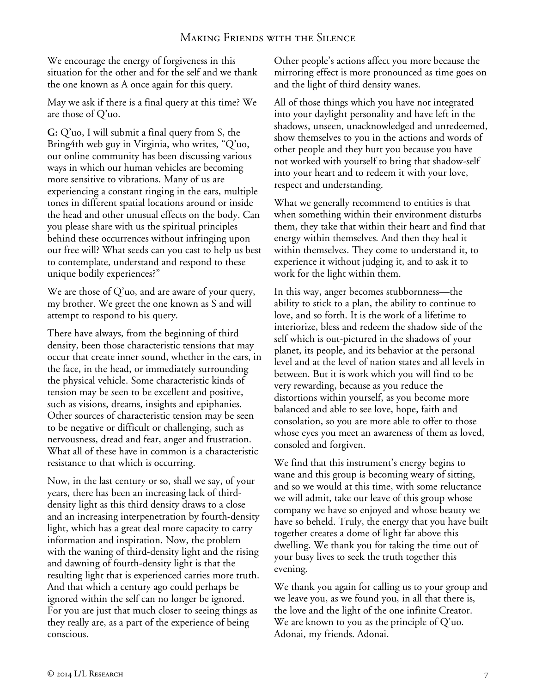We encourage the energy of forgiveness in this situation for the other and for the self and we thank the one known as A once again for this query.

May we ask if there is a final query at this time? We are those of Q'uo.

**G:** Q'uo, I will submit a final query from S, the Bring4th web guy in Virginia, who writes, "Q'uo, our online community has been discussing various ways in which our human vehicles are becoming more sensitive to vibrations. Many of us are experiencing a constant ringing in the ears, multiple tones in different spatial locations around or inside the head and other unusual effects on the body. Can you please share with us the spiritual principles behind these occurrences without infringing upon our free will? What seeds can you cast to help us best to contemplate, understand and respond to these unique bodily experiences?"

We are those of Q'uo, and are aware of your query, my brother. We greet the one known as S and will attempt to respond to his query.

There have always, from the beginning of third density, been those characteristic tensions that may occur that create inner sound, whether in the ears, in the face, in the head, or immediately surrounding the physical vehicle. Some characteristic kinds of tension may be seen to be excellent and positive, such as visions, dreams, insights and epiphanies. Other sources of characteristic tension may be seen to be negative or difficult or challenging, such as nervousness, dread and fear, anger and frustration. What all of these have in common is a characteristic resistance to that which is occurring.

Now, in the last century or so, shall we say, of your years, there has been an increasing lack of thirddensity light as this third density draws to a close and an increasing interpenetration by fourth-density light, which has a great deal more capacity to carry information and inspiration. Now, the problem with the waning of third-density light and the rising and dawning of fourth-density light is that the resulting light that is experienced carries more truth. And that which a century ago could perhaps be ignored within the self can no longer be ignored. For you are just that much closer to seeing things as they really are, as a part of the experience of being conscious.

Other people's actions affect you more because the mirroring effect is more pronounced as time goes on and the light of third density wanes.

All of those things which you have not integrated into your daylight personality and have left in the shadows, unseen, unacknowledged and unredeemed, show themselves to you in the actions and words of other people and they hurt you because you have not worked with yourself to bring that shadow-self into your heart and to redeem it with your love, respect and understanding.

What we generally recommend to entities is that when something within their environment disturbs them, they take that within their heart and find that energy within themselves. And then they heal it within themselves. They come to understand it, to experience it without judging it, and to ask it to work for the light within them.

In this way, anger becomes stubbornness—the ability to stick to a plan, the ability to continue to love, and so forth. It is the work of a lifetime to interiorize, bless and redeem the shadow side of the self which is out-pictured in the shadows of your planet, its people, and its behavior at the personal level and at the level of nation states and all levels in between. But it is work which you will find to be very rewarding, because as you reduce the distortions within yourself, as you become more balanced and able to see love, hope, faith and consolation, so you are more able to offer to those whose eyes you meet an awareness of them as loved, consoled and forgiven.

We find that this instrument's energy begins to wane and this group is becoming weary of sitting, and so we would at this time, with some reluctance we will admit, take our leave of this group whose company we have so enjoyed and whose beauty we have so beheld. Truly, the energy that you have built together creates a dome of light far above this dwelling. We thank you for taking the time out of your busy lives to seek the truth together this evening.

We thank you again for calling us to your group and we leave you, as we found you, in all that there is, the love and the light of the one infinite Creator. We are known to you as the principle of Q'uo. Adonai, my friends. Adonai.